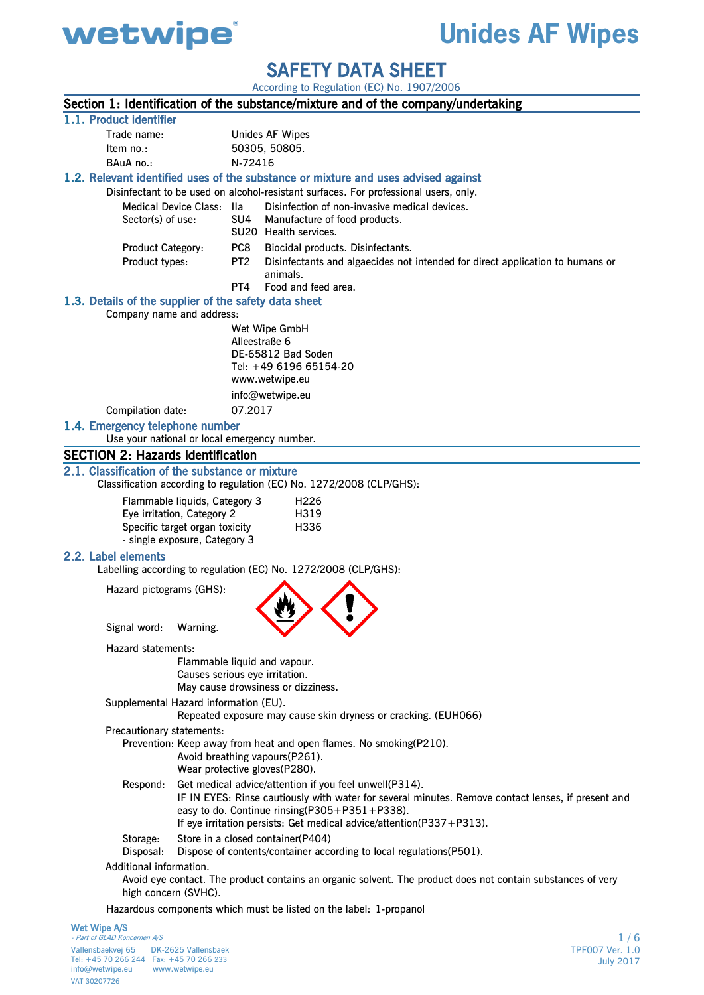

# **Unides AF Wipes**

SAFETY DATA SHEET

According to Regulation (EC) No. 1907/2006

|                                                                                      |                                |                 | Section 1: Identification of the substance/mixture and of the company/undertaking                           |  |
|--------------------------------------------------------------------------------------|--------------------------------|-----------------|-------------------------------------------------------------------------------------------------------------|--|
| 1.1. Product identifier                                                              |                                |                 |                                                                                                             |  |
| Trade name:                                                                          |                                |                 | <b>Unides AF Wipes</b>                                                                                      |  |
| Item no.:                                                                            |                                |                 | 50305, 50805.                                                                                               |  |
| BAuA no.:                                                                            |                                | N-72416         |                                                                                                             |  |
|                                                                                      |                                |                 | 1.2. Relevant identified uses of the substance or mixture and uses advised against                          |  |
| Disinfectant to be used on alcohol-resistant surfaces. For professional users, only. |                                |                 |                                                                                                             |  |
| Medical Device Class: Ila                                                            |                                |                 | Disinfection of non-invasive medical devices.                                                               |  |
| Sector(s) of use:                                                                    |                                | SU4             | Manufacture of food products.<br>SU20 Health services.                                                      |  |
| <b>Product Category:</b>                                                             |                                | PC8             | Biocidal products. Disinfectants.                                                                           |  |
| Product types:                                                                       |                                | PT <sub>2</sub> | Disinfectants and algaecides not intended for direct application to humans or                               |  |
|                                                                                      |                                |                 | animals.                                                                                                    |  |
|                                                                                      |                                | PT4             | Food and feed area.                                                                                         |  |
| 1.3. Details of the supplier of the safety data sheet                                |                                |                 |                                                                                                             |  |
| Company name and address:                                                            |                                |                 |                                                                                                             |  |
|                                                                                      |                                |                 | Wet Wipe GmbH                                                                                               |  |
|                                                                                      |                                | Alleestraße 6   | DE-65812 Bad Soden                                                                                          |  |
|                                                                                      |                                |                 | Tel: +49 6196 65154-20                                                                                      |  |
|                                                                                      |                                |                 | www.wetwipe.eu                                                                                              |  |
|                                                                                      |                                |                 | info@wetwipe.eu                                                                                             |  |
| Compilation date:                                                                    |                                | 07.2017         |                                                                                                             |  |
| 1.4. Emergency telephone number                                                      |                                |                 |                                                                                                             |  |
| Use your national or local emergency number.                                         |                                |                 |                                                                                                             |  |
| <b>SECTION 2: Hazards identification</b>                                             |                                |                 |                                                                                                             |  |
| 2.1. Classification of the substance or mixture                                      |                                |                 |                                                                                                             |  |
|                                                                                      |                                |                 | Classification according to regulation (EC) No. 1272/2008 (CLP/GHS):                                        |  |
| Flammable liquids, Category 3                                                        |                                |                 | H <sub>226</sub>                                                                                            |  |
| Eye irritation, Category 2                                                           |                                |                 | H319                                                                                                        |  |
| Specific target organ toxicity                                                       |                                |                 | H336                                                                                                        |  |
| - single exposure, Category 3                                                        |                                |                 |                                                                                                             |  |
| 2.2. Label elements                                                                  |                                |                 | Labelling according to regulation (EC) No. 1272/2008 (CLP/GHS):                                             |  |
|                                                                                      |                                |                 |                                                                                                             |  |
| Hazard pictograms (GHS):                                                             |                                |                 |                                                                                                             |  |
|                                                                                      |                                |                 |                                                                                                             |  |
| Signal word:                                                                         | Warning.                       |                 |                                                                                                             |  |
|                                                                                      |                                |                 |                                                                                                             |  |
| Hazard statements:                                                                   |                                |                 | Flammable liquid and vapour.                                                                                |  |
|                                                                                      | Causes serious eye irritation. |                 |                                                                                                             |  |
|                                                                                      |                                |                 | May cause drowsiness or dizziness.                                                                          |  |
| Supplemental Hazard information (EU).                                                |                                |                 |                                                                                                             |  |
|                                                                                      |                                |                 | Repeated exposure may cause skin dryness or cracking. (EUH066)                                              |  |
| Precautionary statements:                                                            |                                |                 |                                                                                                             |  |
|                                                                                      |                                |                 | Prevention: Keep away from heat and open flames. No smoking(P210).                                          |  |
|                                                                                      |                                |                 | Avoid breathing vapours(P261).<br>Wear protective gloves(P280).                                             |  |
| Respond:                                                                             |                                |                 | Get medical advice/attention if you feel unwell(P314).                                                      |  |
|                                                                                      |                                |                 | IF IN EYES: Rinse cautiously with water for several minutes. Remove contact lenses, if present and          |  |
|                                                                                      |                                |                 | easy to do. Continue rinsing( $P305 + P351 + P338$ ).                                                       |  |
|                                                                                      |                                |                 | If eye irritation persists: Get medical advice/attention(P337+P313).                                        |  |
| Storage:                                                                             |                                |                 | Store in a closed container(P404)                                                                           |  |
| Disposal:                                                                            |                                |                 | Dispose of contents/container according to local regulations(P501).                                         |  |
| Additional information.                                                              |                                |                 |                                                                                                             |  |
|                                                                                      |                                |                 | Avoid eye contact. The product contains an organic solvent. The product does not contain substances of very |  |
| high concern (SVHC).                                                                 |                                |                 |                                                                                                             |  |
|                                                                                      |                                |                 | Hazardous components which must be listed on the label: 1-propanol                                          |  |
| Wet Wipe A/S<br>Part of GLAD Koncernen A/S                                           |                                |                 | 1/6                                                                                                         |  |

 Vallensbaekvej 65 DK-2625 Vallensbaek Tel: +45 70 266 244 Fax: +45 70 266 233 info@wetwipe.eu www.wetwipe.eu VAT 30207726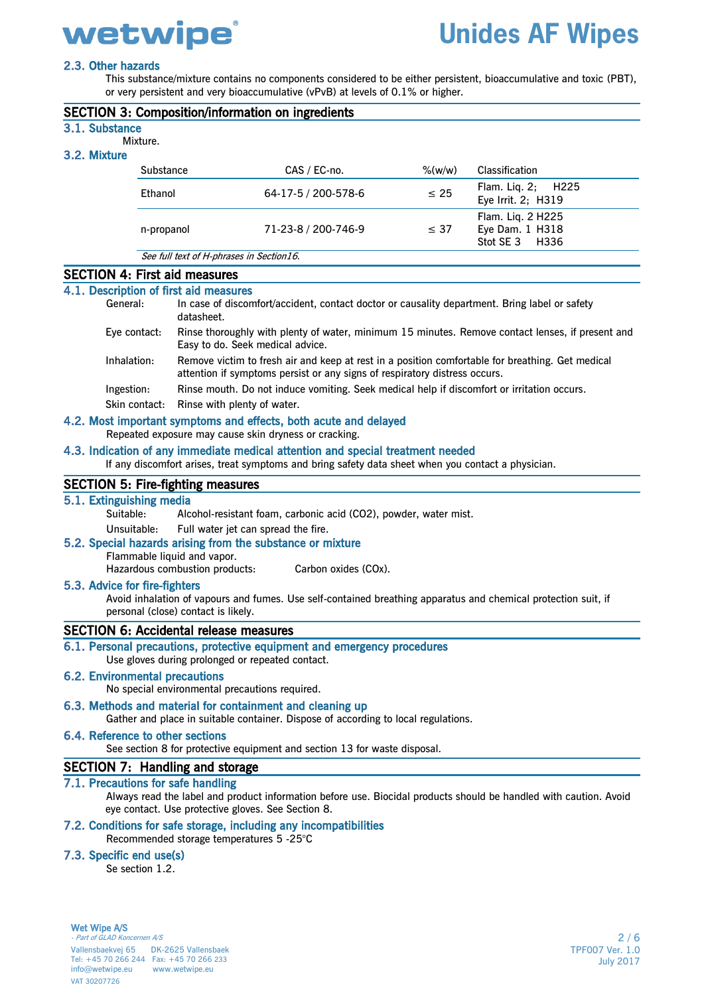# **Unides AF Wipes**

## 2.3. Other hazards

This substance/mixture contains no components considered to be either persistent, bioaccumulative and toxic (PBT), or very persistent and very bioaccumulative (vPvB) at levels of 0.1% or higher.

|                                | <b>SECTION 3: Composition/information on ingredients</b> |                     |           |                                                        |  |  |  |  |  |
|--------------------------------|----------------------------------------------------------|---------------------|-----------|--------------------------------------------------------|--|--|--|--|--|
| 3.1. Substance<br>3.2. Mixture | Mixture.                                                 |                     |           |                                                        |  |  |  |  |  |
|                                | Substance                                                | CAS / EC-no.        | $%$ (w/w) | <b>Classification</b>                                  |  |  |  |  |  |
|                                | Ethanol                                                  | 64-17-5 / 200-578-6 | $\leq 25$ | Flam. Lig. 2; H225<br>Eye Irrit. 2; H319               |  |  |  |  |  |
|                                | n-propanol                                               | 71-23-8 / 200-746-9 | $\leq$ 37 | Flam. Liq. 2 H225<br>Eye Dam. 1 H318<br>Stot SE 3 H336 |  |  |  |  |  |
|                                | See full text of H-phrases in Section16.                 |                     |           |                                                        |  |  |  |  |  |

## SECTION 4: First aid measures

## 4.1. Description of first aid measures

| General:      | In case of discomfort/accident, contact doctor or causality department. Bring label or safety<br>datasheet.                                                                    |
|---------------|--------------------------------------------------------------------------------------------------------------------------------------------------------------------------------|
| Eye contact:  | Rinse thoroughly with plenty of water, minimum 15 minutes. Remove contact lenses, if present and<br>Easy to do. Seek medical advice.                                           |
| Inhalation:   | Remove victim to fresh air and keep at rest in a position comfortable for breathing. Get medical<br>attention if symptoms persist or any signs of respiratory distress occurs. |
| Ingestion:    | Rinse mouth. Do not induce vomiting. Seek medical help if discomfort or irritation occurs.                                                                                     |
| Skin contact: | Rinse with plenty of water.                                                                                                                                                    |
|               | 4.2. Most important symptoms and effects, both acute and delayed                                                                                                               |

Repeated exposure may cause skin dryness or cracking.

#### 4.3. Indication of any immediate medical attention and special treatment needed

If any discomfort arises, treat symptoms and bring safety data sheet when you contact a physician.

### SECTION 5: Fire-fighting measures

#### 5.1. Extinguishing media

Suitable: Alcohol-resistant foam, carbonic acid (CO2), powder, water mist.

Unsuitable: Full water jet can spread the fire.

## 5.2. Special hazards arising from the substance or mixture

Flammable liquid and vapor.

Hazardous combustion products: Carbon oxides (COx).

#### 5.3. Advice for fire-fighters

Avoid inhalation of vapours and fumes. Use self-contained breathing apparatus and chemical protection suit, if personal (close) contact is likely.

### SECTION 6: Accidental release measures

### 6.1. Personal precautions, protective equipment and emergency procedures

Use gloves during prolonged or repeated contact.

## 6.2. Environmental precautions

No special environmental precautions required.

#### 6.3. Methods and material for containment and cleaning up

Gather and place in suitable container. Dispose of according to local regulations.

#### 6.4. Reference to other sections

See section 8 for protective equipment and section 13 for waste disposal.

### SECTION 7: Handling and storage

## 7.1. Precautions for safe handling

Always read the label and product information before use. Biocidal products should be handled with caution. Avoid eye contact. Use protective gloves. See Section 8.

## 7.2. Conditions for safe storage, including any incompatibilities

Recommended storage temperatures 5 -25°C

## 7.3. Specific end use(s)

Se section 1.2.

Wet Wipe A/S Part of GLAD Koncernen A/S Vallensbaekvej 65 DK-2625 Vallensbaek Tel: +45 70 266 244 Fax: +45 70 266 233 info@wetwipe.eu www.wetwipe.eu VAT 30207726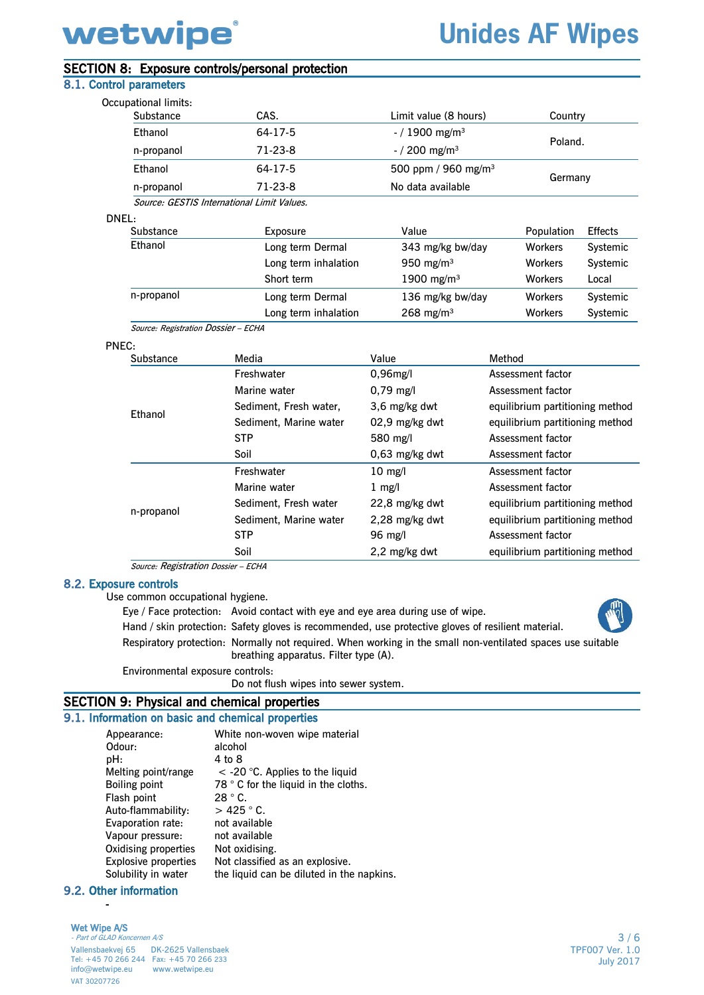# **Unides AF Wipes**

# SECTION 8: Exposure controls/personal protection

## 8.1. Control parameters

| Occupational limits:                |                                            |                                 |                |                |
|-------------------------------------|--------------------------------------------|---------------------------------|----------------|----------------|
| Substance                           | CAS.                                       | Limit value (8 hours)           | Country        |                |
| Ethanol                             | 64-17-5                                    | $-$ / 1900 mg/m <sup>3</sup>    |                |                |
| n-propanol                          | $71-23-8$                                  | $-$ / 200 mg/m <sup>3</sup>     | Poland.        |                |
| Ethanol                             | 64-17-5                                    | 500 ppm / 960 mg/m <sup>3</sup> |                |                |
| n-propanol                          | $71-23-8$                                  | No data available               | Germany        |                |
|                                     | Source: GESTIS International Limit Values. |                                 |                |                |
| DNEL:                               |                                            |                                 |                |                |
| Substance                           | Exposure                                   | Value                           | Population     | <b>Effects</b> |
| Ethanol                             | Long term Dermal                           | 343 mg/kg bw/day                | <b>Workers</b> | Systemic       |
|                                     | Long term inhalation                       | 950 mg/m $3$                    | <b>Workers</b> | Systemic       |
|                                     | Short term                                 | 1900 mg/m <sup>3</sup>          | <b>Workers</b> | Local          |
| n-propanol                          | Long term Dermal                           | 136 mg/kg bw/day                | <b>Workers</b> | Systemic       |
|                                     | Long term inhalation                       | $268 \; \text{mg/m}^3$          | <b>Workers</b> | Systemic       |
| Source: Registration Dossier - ECHA |                                            |                                 |                |                |
| PNEC:                               |                                            |                                 |                |                |
| Substance                           | Media                                      | Value                           | Method         |                |
|                                     |                                            |                                 |                |                |

|            | Freshwater             | $0.96$ mg/l         | Assessment factor               |
|------------|------------------------|---------------------|---------------------------------|
|            | Marine water           | $0,79 \text{ mg/l}$ | Assessment factor               |
| Ethanol    | Sediment, Fresh water, | 3,6 mg/kg dwt       | equilibrium partitioning method |
|            | Sediment, Marine water | 02,9 mg/kg dwt      | equilibrium partitioning method |
|            | <b>STP</b>             | 580 mg/l            | Assessment factor               |
|            | Soil                   | $0.63$ mg/kg dwt    | Assessment factor               |
|            | Freshwater             | $10 \text{ mg/l}$   | Assessment factor               |
|            | Marine water           | $1 \text{ mg/l}$    | Assessment factor               |
|            | Sediment, Fresh water  | 22,8 mg/kg dwt      | equilibrium partitioning method |
| n-propanol | Sediment, Marine water | 2,28 mg/kg dwt      | equilibrium partitioning method |
|            | <b>STP</b>             | 96 mg/l             | Assessment factor               |
|            | Soil                   | 2,2 mg/kg dwt       | equilibrium partitioning method |

Source: Registration Dossier – ECHA

### 8.2. Exposure controls

Use common occupational hygiene.

Eye / Face protection: Avoid contact with eye and eye area during use of wipe.

Hand / skin protection: Safety gloves is recommended, use protective gloves of resilient material.

Respiratory protection: Normally not required. When working in the small non-ventilated spaces use suitable breathing apparatus. Filter type (A).

Environmental exposure controls:

Do not flush wipes into sewer system.

# SECTION 9: Physical and chemical properties

# 9.1. Information on basic and chemical properties

| Appearance:                 | White non-woven wipe material             |
|-----------------------------|-------------------------------------------|
| Odour:                      | alcohol                                   |
| pH:                         | 4 to 8                                    |
| Melting point/range         | $<$ -20 °C. Applies to the liquid         |
| <b>Boiling point</b>        | 78 ° C for the liquid in the cloths.      |
| Flash point                 | $28 °C$ .                                 |
| Auto-flammability:          | $>425$ $^{\circ}$ C.                      |
| Evaporation rate:           | not available                             |
| Vapour pressure:            | not available                             |
| Oxidising properties        | Not oxidising.                            |
| <b>Explosive properties</b> | Not classified as an explosive.           |
| Solubility in water         | the liquid can be diluted in the napkins. |
|                             |                                           |

## 9.2. Other information

#### Wet Wipe A/S Part of GLAD Koncernen A/S

-

 Vallensbaekvej 65 DK-2625 Vallensbaek Tel: +45 70 266 244 Fax: +45 70 266 233 info@wetwipe.eu www.wetwipe.eu VAT 30207726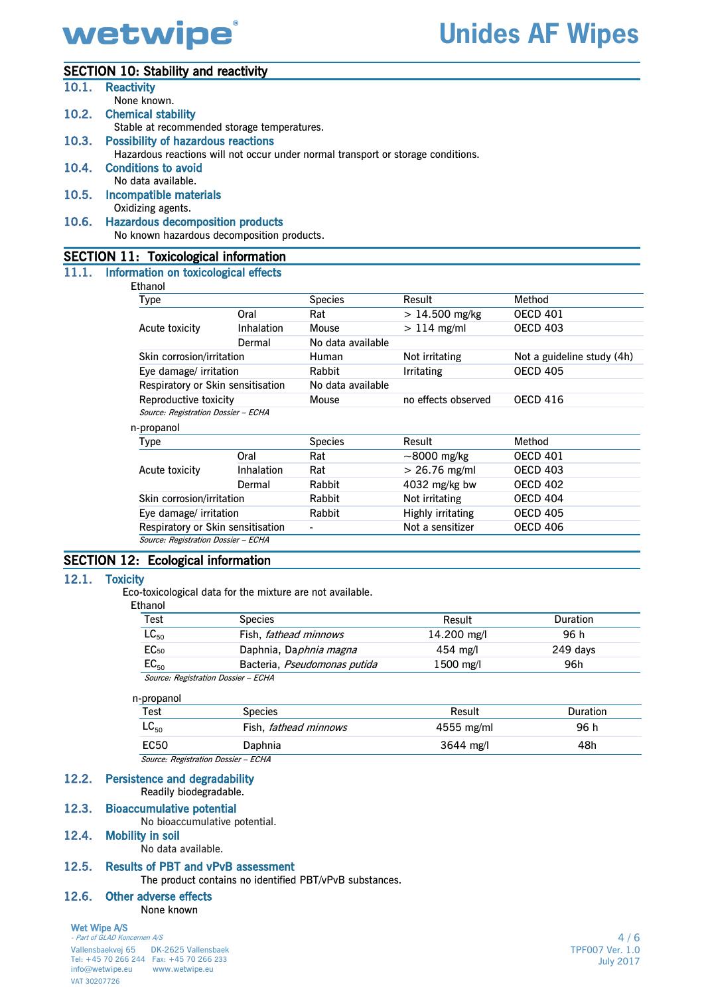## SECTION 10: Stability and reactivity

| 10.1. | <b>Reactivity</b>                            |      |                |                                                                                  |                 |  |  |  |  |
|-------|----------------------------------------------|------|----------------|----------------------------------------------------------------------------------|-----------------|--|--|--|--|
|       | None known.                                  |      |                |                                                                                  |                 |  |  |  |  |
|       | 10.2. Chemical stability                     |      |                |                                                                                  |                 |  |  |  |  |
|       | Stable at recommended storage temperatures.  |      |                |                                                                                  |                 |  |  |  |  |
| 10.3. | <b>Possibility of hazardous reactions</b>    |      |                |                                                                                  |                 |  |  |  |  |
|       |                                              |      |                | Hazardous reactions will not occur under normal transport or storage conditions. |                 |  |  |  |  |
|       | 10.4. Conditions to avoid                    |      |                |                                                                                  |                 |  |  |  |  |
|       | No data available.                           |      |                |                                                                                  |                 |  |  |  |  |
| 10.5. | Incompatible materials                       |      |                |                                                                                  |                 |  |  |  |  |
|       | Oxidizing agents.                            |      |                |                                                                                  |                 |  |  |  |  |
| 10.6. | <b>Hazardous decomposition products</b>      |      |                |                                                                                  |                 |  |  |  |  |
|       | No known hazardous decomposition products.   |      |                |                                                                                  |                 |  |  |  |  |
|       | <b>SECTION 11: Toxicological information</b> |      |                |                                                                                  |                 |  |  |  |  |
|       | 11.1. Information on toxicological effects   |      |                |                                                                                  |                 |  |  |  |  |
|       | Ethanol                                      |      |                |                                                                                  |                 |  |  |  |  |
|       | Type                                         |      | <b>Species</b> | Result                                                                           | Method          |  |  |  |  |
|       |                                              | Oral | Rat            | $> 14.500$ mg/kg                                                                 | <b>OECD 401</b> |  |  |  |  |
|       |                                              |      |                |                                                                                  |                 |  |  |  |  |

|                                     | Oral                              | Rat               | $> 14.500$ mg/kg    | <b>OECD 401</b>            |
|-------------------------------------|-----------------------------------|-------------------|---------------------|----------------------------|
| Acute toxicity                      | Inhalation                        | Mouse             | $>114$ mg/ml        | <b>OECD 403</b>            |
|                                     | Dermal                            | No data available |                     |                            |
| Skin corrosion/irritation           |                                   | Human             | Not irritating      | Not a guideline study (4h) |
| Eye damage/ irritation              |                                   | Rabbit            | <b>Irritating</b>   | <b>OECD 405</b>            |
| Respiratory or Skin sensitisation   |                                   | No data available |                     |                            |
| Reproductive toxicity               |                                   | Mouse             | no effects observed | <b>OECD 416</b>            |
| Source: Registration Dossier - ECHA |                                   |                   |                     |                            |
| n-propanol                          |                                   |                   |                     |                            |
| Type                                |                                   | <b>Species</b>    | Result              | Method                     |
|                                     | Oral                              | Rat               | $\sim$ 8000 mg/kg   | <b>OECD 401</b>            |
| Acute toxicity                      | Inhalation                        | Rat               | $> 26.76$ mg/ml     | <b>OECD 403</b>            |
|                                     | Dermal                            | Rabbit            | $4032$ mg/kg bw     | <b>OECD 402</b>            |
| Skin corrosion/irritation           |                                   | Rabbit            | Not irritating      | <b>OECD 404</b>            |
|                                     | Eye damage/ irritation            |                   | Highly irritating   | <b>OECD 405</b>            |
|                                     | Respiratory or Skin sensitisation |                   | Not a sensitizer    | <b>OECD 406</b>            |
| Source: Registration Dossier - ECHA |                                   |                   |                     |                            |

## SECTION 12: Ecological information

### 12.1. Toxicity

Eco-toxicological data for the mixture are not available.

Ethanol

| Test                                | <b>Species</b>                 | Result      | <b>Duration</b> |  |  |
|-------------------------------------|--------------------------------|-------------|-----------------|--|--|
| $LC_{50}$                           | Fish, <i>fathead minnows</i>   | 14.200 mg/l | 96 h            |  |  |
| EC <sub>50</sub>                    | Daphnia, Da <i>phnia magna</i> | $454$ mg/l  | 249 days        |  |  |
| $EC_{50}$                           | Bacteria, Pseudomonas putida   | 1500 mg/l   | 96h             |  |  |
| Source: Registration Dossier - ECHA |                                |             |                 |  |  |

# n-propanol

| Test               | <b>Species</b>               | Result                       | Duration |  |
|--------------------|------------------------------|------------------------------|----------|--|
| $\mathsf{LC}_{50}$ | Fish, <i>fathead minnows</i> | $4555$ mg/ml                 | 96 h     |  |
| <b>EC50</b>        | Daphnia                      | $3644 \; \text{mg}/\text{l}$ | 48h      |  |
|                    |                              |                              |          |  |

Source: Registration Dossier – ECHA

#### 12.2. Persistence and degradability Readily biodegradable.

## 12.3. Bioaccumulative potential

No bioaccumulative potential.

# 12.4. Mobility in soil

No data available.

## 12.5. Results of PBT and vPvB assessment

The product contains no identified PBT/vPvB substances.

## 12.6. Other adverse effects

None known

## Wet Wipe A/S

- Part of GLAD Koncernen A/S Vallensbaekvej 65 DK-2625 Vallensbaek Tel: +45 70 266 244 Fax: +45 70 266 233 info@wetwipe.eu www.wetwipe.eu VAT 30207726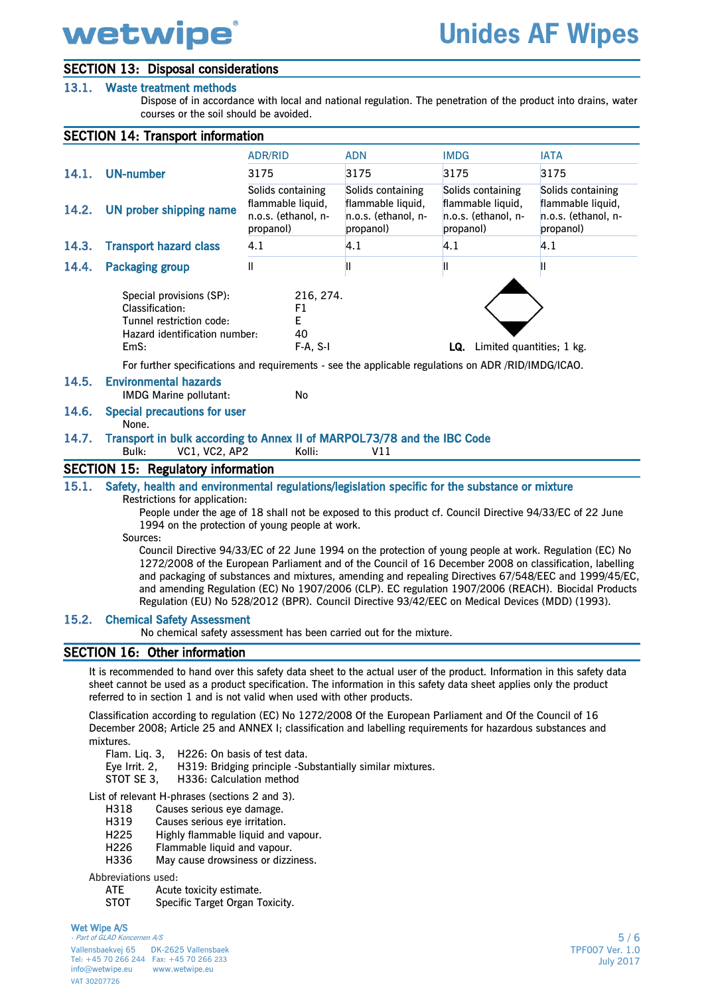# SECTION 13: Disposal considerations

## 13.1. Waste treatment methods

Dispose of in accordance with local and national regulation. The penetration of the product into drains, water courses or the soil should be avoided.

|       | <b>SECTION 14: Transport information</b>                                                                                                                                                                                                                                                                                                                                                                                                                                                                                                                                                                                               |                                                                            |                                                                            |                                                                            |                                                                                                                                                                                                               |
|-------|----------------------------------------------------------------------------------------------------------------------------------------------------------------------------------------------------------------------------------------------------------------------------------------------------------------------------------------------------------------------------------------------------------------------------------------------------------------------------------------------------------------------------------------------------------------------------------------------------------------------------------------|----------------------------------------------------------------------------|----------------------------------------------------------------------------|----------------------------------------------------------------------------|---------------------------------------------------------------------------------------------------------------------------------------------------------------------------------------------------------------|
|       |                                                                                                                                                                                                                                                                                                                                                                                                                                                                                                                                                                                                                                        | <b>ADR/RID</b>                                                             | <b>ADN</b>                                                                 | <b>IMDG</b>                                                                | <b>IATA</b>                                                                                                                                                                                                   |
| 14.1. | <b>UN-number</b>                                                                                                                                                                                                                                                                                                                                                                                                                                                                                                                                                                                                                       | 3175                                                                       | 3175                                                                       | 3175                                                                       | 3175                                                                                                                                                                                                          |
| 14.2. | <b>UN prober shipping name</b>                                                                                                                                                                                                                                                                                                                                                                                                                                                                                                                                                                                                         | Solids containing<br>flammable liquid,<br>n.o.s. (ethanol, n-<br>propanol) | Solids containing<br>flammable liquid,<br>n.o.s. (ethanol, n-<br>propanol) | Solids containing<br>flammable liquid,<br>n.o.s. (ethanol, n-<br>propanol) | Solids containing<br>flammable liquid,<br>n.o.s. (ethanol, n-<br>propanol)                                                                                                                                    |
| 14.3. | <b>Transport hazard class</b>                                                                                                                                                                                                                                                                                                                                                                                                                                                                                                                                                                                                          | 4.1                                                                        | 4.1                                                                        | 4.1                                                                        | 4.1                                                                                                                                                                                                           |
| 14.4. | <b>Packaging group</b>                                                                                                                                                                                                                                                                                                                                                                                                                                                                                                                                                                                                                 | Ш                                                                          | Ш                                                                          | Ш                                                                          | Ш                                                                                                                                                                                                             |
|       | Special provisions (SP):<br>Classification:<br>Tunnel restriction code:<br>Hazard identification number:<br>EmS:                                                                                                                                                                                                                                                                                                                                                                                                                                                                                                                       | 216, 274.<br>F1<br>E.<br>40<br>$F-A, S-I$                                  |                                                                            | LQ. Limited quantities; 1 kg.                                              |                                                                                                                                                                                                               |
|       | For further specifications and requirements - see the applicable regulations on ADR /RID/IMDG/ICAO.                                                                                                                                                                                                                                                                                                                                                                                                                                                                                                                                    |                                                                            |                                                                            |                                                                            |                                                                                                                                                                                                               |
| 14.5. | <b>Environmental hazards</b><br><b>IMDG Marine pollutant:</b>                                                                                                                                                                                                                                                                                                                                                                                                                                                                                                                                                                          | No                                                                         |                                                                            |                                                                            |                                                                                                                                                                                                               |
| 14.6. | <b>Special precautions for user</b><br>None.                                                                                                                                                                                                                                                                                                                                                                                                                                                                                                                                                                                           |                                                                            |                                                                            |                                                                            |                                                                                                                                                                                                               |
| 14.7. | Transport in bulk according to Annex II of MARPOL73/78 and the IBC Code<br>Bulk:<br><b>VC1, VC2, AP2</b>                                                                                                                                                                                                                                                                                                                                                                                                                                                                                                                               | Kolli:                                                                     | V11                                                                        |                                                                            |                                                                                                                                                                                                               |
|       | <b>SECTION 15: Regulatory information</b>                                                                                                                                                                                                                                                                                                                                                                                                                                                                                                                                                                                              |                                                                            |                                                                            |                                                                            |                                                                                                                                                                                                               |
| 15.1. | Safety, health and environmental regulations/legislation specific for the substance or mixture<br>Restrictions for application:<br>People under the age of 18 shall not be exposed to this product cf. Council Directive 94/33/EC of 22 June<br>1994 on the protection of young people at work.<br>Sources:<br>Council Directive 94/33/EC of 22 June 1994 on the protection of young people at work. Regulation (EC) No<br>1272/2008 of the European Parliament and of the Council of 16 December 2008 on classification, labelling<br>Regulation (EU) No 528/2012 (BPR). Council Directive 93/42/EEC on Medical Devices (MDD) (1993). |                                                                            |                                                                            |                                                                            | and packaging of substances and mixtures, amending and repealing Directives 67/548/EEC and 1999/45/EC,<br>and amending Regulation (EC) No 1907/2006 (CLP). EC regulation 1907/2006 (REACH). Biocidal Products |
| 15.2. | <b>Chemical Safety Assessment</b><br>No chemical safety assessment has been carried out for the mixture.                                                                                                                                                                                                                                                                                                                                                                                                                                                                                                                               |                                                                            |                                                                            |                                                                            |                                                                                                                                                                                                               |
|       | <b>SECTION 16: Other information</b>                                                                                                                                                                                                                                                                                                                                                                                                                                                                                                                                                                                                   |                                                                            |                                                                            |                                                                            |                                                                                                                                                                                                               |
|       | It is recommended to hand over this safety data sheet to the actual user of the product. Information in this safety data<br>sheet cannot be used as a product specification. The information in this safety data sheet applies only the product<br>referred to in section 1 and is not valid when used with other products.                                                                                                                                                                                                                                                                                                            |                                                                            |                                                                            |                                                                            |                                                                                                                                                                                                               |
|       | Classification according to regulation (EC) No 1272/2008 Of the European Parliament and Of the Council of 16<br>December 2008; Article 25 and ANNEX I; classification and labelling requirements for hazardous substances and                                                                                                                                                                                                                                                                                                                                                                                                          |                                                                            |                                                                            |                                                                            |                                                                                                                                                                                                               |

mixtures.

- Flam. Liq. 3, H226: On basis of test data.
- Eye Irrit. 2, H319: Bridging principle -Substantially similar mixtures.

STOT SE 3, H336: Calculation method

## List of relevant H-phrases (sections 2 and 3).

- H318 Causes serious eye damage.<br>H319 Causes serious eye irritation.
- H319 Causes serious eye irritation.<br>H225 Highly flammable liquid and
- H225 Highly flammable liquid and vapour.<br>H226 Flammable liquid and vapour.
- H226 Flammable liquid and vapour.<br>H336 May cause drowsiness or dizzi
- May cause drowsiness or dizziness.

## Abbreviations used:

- ATE Acute toxicity estimate.<br>STOT Specific Target Organ To
- Specific Target Organ Toxicity.

## Wet Wipe A/S

- Part of GLAD Koncernen A/S Vallensbaekvej 65 DK-2625 Vallensbaek Tel: +45 70 266 244 Fax: +45 70 266 233<br>info@wetwipe.eu www.wetwipe.eu info@wetwipe.eu VAT 30207726